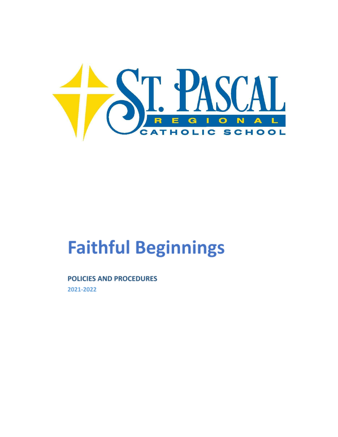

# **Faithful Beginnings**

## **POLICIES AND PROCEDURES**

2021-2022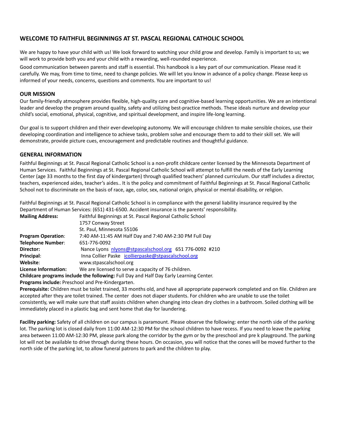## **WELCOME TO FAITHFUL BEGINNINGS AT ST. PASCAL REGIONAL CATHOLIC SCHOOL**

We are happy to have your child with us! We look forward to watching your child grow and develop. Family is important to us; we will work to provide both you and your child with a rewarding, well-rounded experience.

Good communication between parents and staff is essential. This handbook is a key part of our communication. Please read it carefully. We may, from time to time, need to change policies. We will let you know in advance of a policy change. Please keep us informed of your needs, concerns, questions and comments. You are important to us!

## **OUR MISSION**

Our family-friendly atmosphere provides flexible, high-quality care and cognitive-based learning opportunities. We are an intentional leader and develop the program around quality, safety and utilizing best-practice methods. These ideals nurture and develop your child's social, emotional, physical, cognitive, and spiritual development, and inspire life-long learning.

Our goal is to support children and their ever-developing autonomy. We will encourage children to make sensible choices, use their developing coordination and intelligence to achieve tasks, problem solve and encourage them to add to their skill set. We will demonstrate, provide picture cues, encouragement and predictable routines and thoughtful guidance.

## **GENERAL INFORMATION**

Faithful Beginnings at St. Pascal Regional Catholic School is a non-profit childcare center licensed by the Minnesota Department of Human Services. Faithful Beginnings at St. Pascal Regional Catholic School will attempt to fulfill the needs of the Early Learning Center (age 33 months to the first day of kindergarten) through qualified teachers' planned curriculum. Our staff includes a director, teachers, experienced aides, teacher's aides.. It is the policy and commitment of Faithful Beginnings at St. Pascal Regional Catholic School not to discriminate on the basis of race, age, color, sex, national origin, physical or mental disability, or religion.

Faithful Beginnings at St. Pascal Regional Catholic School is in compliance with the general liability insurance required by the Department of Human Services: (651) 431-6500. Accident insurance is the parents' responsibility.

| <b>Mailing Address:</b>   | Faithful Beginnings at St. Pascal Regional Catholic School |
|---------------------------|------------------------------------------------------------|
|                           | 1757 Conway Street                                         |
|                           | St. Paul, Minnesota 55106                                  |
| <b>Program Operation:</b> | 7:40 AM-11:45 AM Half Day and 7:40 AM-2:30 PM Full Day     |
| Telephone Number:         | 651-776-0092                                               |
| Director:                 | Nance Lyons nlyons@stpascalschool.org 651 776-0092 #210    |
| Principal:                | Inna Collier Paske icollierpaske@stpascalschool.org        |
| Website:                  | www.stpascalschool.org                                     |
| License Information:      | We are licensed to serve a capacity of 76 children.        |

**Childcare programs include the following:** Full Day and Half Day Early Learning Center.

**Programs include:** Preschool and Pre-Kindergarten.

**Prerequisite:** Children must be toilet trained, 33 months old, and have all appropriate paperwork completed and on file. Children are accepted after they are toilet trained. The center does not diaper students. For children who are unable to use the toilet consistently, we will make sure that staff assists children when changing into clean dry clothes in a bathroom. Soiled clothing will be immediately placed in a plastic bag and sent home that day for laundering.

**Facility parking:** Safety of all children on our campus is paramount. Please observe the following: enter the north side of the parking lot. The parking lot is closed daily from 11:00 AM-12:30 PM for the school children to have recess. If you need to leave the parking area between 11:00 AM-12:30 PM, please park along the corridor by the gym or by the preschool and pre k playground. The parking lot will not be available to drive through during these hours. On occasion, you will notice that the cones will be moved further to the north side of the parking lot, to allow funeral patrons to park and the children to play.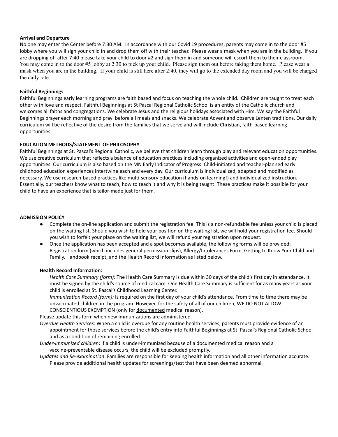#### **Arrival and Departure**

No one may enter the Center before 7:30 AM. In accordance with our Covid 19 procedures, parents may come in to the door #5 lobby where you will sign your child in and drop them off with their teacher. Please wear a mask when you are in the building. If you are dropping off after 7:40 please take your child to door #2 and sign them in and someone will escort them to their classroom. You may come in to the door #5 lobby at 2:30 to pick up your child. Please sign them out before taking them home. Please wear a mask when you are in the building. If your child is still here after 2:40, they will go to the extended day room and you will be charged the daily rate.

#### **Faithful Beginnings**

Faithful Beginnings early learning programs are faith based and focus on teaching the whole child. Children are taught to treat each other with love and respect. Faithful Beginnings at St Pascal Regional Catholic School is an entity of the Catholic church and welcomes all faiths and congregations. We celebrate Jesus and the religious holidays associated with Him. We say the Faithful Beginnings prayer each morning and pray before all meals and snacks. We celebrate Advent and observe Lenten traditions. Our daily curriculum will be reflective of the desire from the families that we serve and will include Christian, faith-based learning opportunities.

#### **EDUCATION METHODS/STATEMENT OF PHILOSOPHY**

Faithful Beginnings at St. Pascal's Regional Catholic, we believe that children learn through play and relevant education opportunities. We use creative curriculum that reflects a balance of education practices including organized activities and open-ended play opportunities. Our curriculum is also based on the MN Early Indicator of Progress. Child-initiated and teacher-planned early childhood education experiences intertwine each and every day. Our curriculum is individualized, adapted and modified as necessary. We use research-based practices like multi-sensory education (hands-on learning!) and individualized instruction. Essentially, our teachers know what to teach, how to teach it and why it is being taught. These practices make it possible for your child to have an experience that is tailor-made just for them.

#### **ADMISSION POLICY**

- Complete the on-line application and submit the registration fee. This is a non-refundable fee unless your child is placed on the waiting list. Should you wish to hold your position on the waiting list, we will hold your registration fee. Should you wish to forfeit your place on the waiting list, we will refund your registration upon request.
- Once the application has been accepted and a spot becomes available, the following forms will be provided: Registration form (which includes general permission slips), Allergy/Intolerances Form, Getting to Know Your Child and Family, Handbook receipt, and the Health Record Information as listed below.

#### **Health Record Information:**

*Health Care Summary (form):* The Health Care Summary is due within 30 days of the child's first day in attendance. It must be signed by the child's source of medical care. One Health Care Summary is sufficient for as many years as your child is enrolled at St. Pascal's Childhood Learning Center.

*Immunization Record (form):* Is required on the first day of your child's attendance. From time to time there may be unvaccinated children in the program. However, for the safety of all of our children, WE DO NOT ALLOW CONSCIENTIOUS EXEMPTION (only for documented medical reason).

Please update this form when new immunizations are administered.

*Overdue Health Services*: When a child is overdue for any routine health services, parents must provide evidence of an appointment for those services before the child's entry into Faithful Beginnings at St. Pascal's Regional Catholic School and as a condition of remaining enrolled.

*Under-immunized children*: If a child is under-immunized because of a documented medical reason and a vaccine-preventable disease occurs, the child will be excluded promptly.

*Updates and Re-examination*: Families are responsible for keeping health information and all other information accurate. Please provide additional health updates for screenings/test that have been deemed abnormal.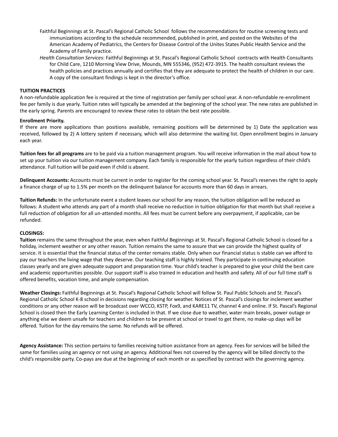- Faithful Beginnings at St. Pascal's Regional Catholic School follows the recommendations for routine screening tests and immunizations according to the schedule recommended, published in print, and posted on the Websites of the American Academy of Pediatrics, the Centers for Disease Control of the Unites States Public Health Service and the Academy of Family practice.
- *Health Consultation Services*: Faithful Beginnings at St. Pascal's Regional Catholic School contracts with Health Consultants for Child Care, 1210 Morning View Drive, Mounds, MN 555346, (952) 472-3915. The health consultant reviews the health policies and practices annually and certifies that they are adequate to protect the health of children in our care. A copy of the consultant findings is kept in the director's office.

#### **TUITION PRACTICES**

A non-refundable application fee is required at the time of registration per family per school year. A non-refundable re-enrollment fee per family is due yearly. Tuition rates will typically be amended at the beginning of the school year. The new rates are published in the early spring. Parents are encouraged to review these rates to obtain the best rate possible.

#### **Enrollment Priority.**

If there are more applications than positions available, remaining positions will be determined by 1) Date the application was received, followed by 2) A lottery system if necessary, which will also determine the waiting list. Open enrollment begins in January each year.

**Tuition fees for all programs** are to be paid via a tuition management program. You will receive information in the mail about how to set up your tuition via our tuition management company. Each family is responsible for the yearly tuition regardless of their child's attendance. Full tuition will be paid even if child is absent.

**Delinquent Accounts:** Accounts must be current in order to register for the coming school year. St. Pascal's reserves the right to apply a finance charge of up to 1.5% per month on the delinquent balance for accounts more than 60 days in arrears.

**Tuition Refunds:** In the unfortunate event a student leaves our school for any reason, the tuition obligation will be reduced as follows: A student who attends any part of a month shall receive no reduction in tuition obligation for that month but shall receive a full reduction of obligation for all un-attended months. All fees must be current before any overpayment, if applicable, can be refunded.

#### **CLOSINGS:**

**Tuition** remains the same throughout the year, even when Faithful Beginnings at St. Pascal's Regional Catholic School is closed for a holiday, inclement weather or any other reason. Tuition remains the same to assure that we can provide the highest quality of service. It is essential that the financial status of the center remains stable. Only when our financial status is stable can we afford to pay our teachers the living wage that they deserve. Our teaching staff is highly trained. They participate in continuing education classes yearly and are given adequate support and preparation time. Your child's teacher is prepared to give your child the best care and academic opportunities possible. Our support staff is also trained in education and health and safety. All of our full time staff is offered benefits, vacation time, and ample compensation.

**Weather Closings:** Faithful Beginnings at St. Pascal's Regional Catholic School will follow St. Paul Public Schools and St. Pascal's Regional Catholic School K-8 school in decisions regarding closing for weather. Notices of St. Pascal's closings for inclement weather conditions or any other reason will be broadcast over WCCO, KSTP, Fox9, and KARE11 TV, channel 4 and online. If St. Pascal's Regional School is closed then the Early Learning Center is included in that. If we close due to weather, water main breaks, power outage or anything else we deem unsafe for teachers and children to be present at school or travel to get there, no make-up days will be offered. Tuition for the day remains the same. No refunds will be offered.

**Agency Assistance:** This section pertains to families receiving tuition assistance from an agency. Fees for services will be billed the same for families using an agency or not using an agency. Additional fees not covered by the agency will be billed directly to the child's responsible party. Co-pays are due at the beginning of each month or as specified by contract with the governing agency.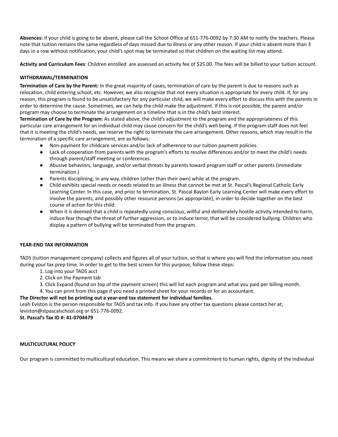**Absences:** If your child is going to be absent, please call the School Office at 651-776-0092 by 7:30 AM to notify the teachers. Please note that tuition remains the same regardless of days missed due to illness or any other reason. If your child is absent more than 3 days in a row without notification, your child's spot may be terminated so that children on the waiting list may attend.

**Activity and Curriculum Fees**: Children enrolled are assessed an activity fee of \$25.00. The fees will be billed to your tuition account.

#### **WITHDRAWAL/TERMINATION**

**Termination of Care by the Parent:** In the great majority of cases, termination of care by the parent is due to reasons such as relocation, child entering school, etc. However, we also recognize that not every situation is appropriate for every child. If, for any reason, this program is found to be unsatisfactory for any particular child, we will make every effort to discuss this with the parents in order to determine the cause. Sometimes, we can help the child make the adjustment. If this is not possible, the parent and/or program may choose to terminate the arrangement on a timeline that is in the child's best interest.

**Termination of Care by the Program:** As stated above, the child's adjustment to the program and the appropriateness of this particular care arrangement for an individual child may cause concern for the child's well being. If the program staff does not feel that it is meeting the child's needs, we reserve the right to terminate the care arrangement. Other reasons, which may result in the termination of a specific care arrangement, are as follows:

- Non-payment for childcare services and/or lack of adherence to our tuition payment policies.
- Lack of cooperation from parents with the program's efforts to resolve differences and/or to meet the child's needs through parent/staff meeting or conferences.
- Abusive behaviors, language, and/or verbal threats by parents toward program staff or other parents (immediate termination.)
- Parents disciplining, in any way, children (other than their own) while at the program.
- Child exhibits special needs or needs related to an illness that cannot be met at St. Pascal's Regional Catholic Early Learning Center. In this case, and prior to termination, St. Pascal Baylon Early Learning Center will make every effort to involve the parents, and possibly other resource persons (as appropriate), in order to decide together on the best course of action for this child.
- When it is deemed that a child is repeatedly using conscious, willful and deliberately hostile activity intended to harm, induce fear though the threat of further aggression, or to induce terror, that will be considered bullying. Children who display a pattern of bullying will be terminated from the program.

#### **YEAR-END TAX INFORMATION**

TADS (tuition management company) collects and figures all of your tuition, so that is where you will find the information you need during your tax prep time. In order to get to the best screen for this purpose, follow these steps:

- 1. Log into your TADS acct
- 2. Click on the Payment tab
- 3. Click Expand (found on top of the payment screen) this will list each program and what you paid per billing month.
- 4. You can print from this page if you need a printed sheet for your records or for an accountant.

#### **The Director will not be printing out a year-end tax statement for individual families.**

Leah Eviston is the person responsible for TADS and tax info. If you have any other tax questions please contact her at; leviston@stpascalschool.org or 651-776-0092.

#### **St. Pascal's Tax ID #: 41-0704479**

#### **MULTICULTURAL POLICY**

Our program is committed to multicultural education. This means we share a commitment to human rights, dignity of the individual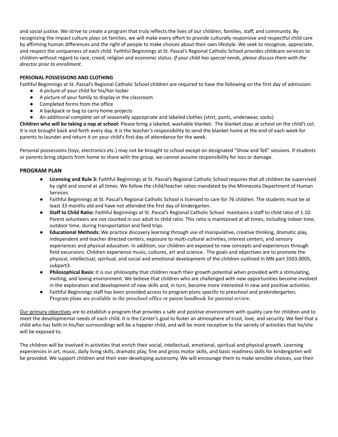and social justice. We strive to create a program that truly reflects the lives of our children, families, staff, and community. By recognizing the impact culture plays on families, we will make every effort to provide culturally responsive and respectful child care by affirming human differences and the right of people to make choices about their own lifestyle. We seek to recognize, appreciate, and respect the uniqueness of each child. Faithful Beginnings at St. Pascal's Regional Catholic School provides childcare services to children without regard to race, creed, religion and economic status. *If your child has special needs, please discuss them with the director prior to enrollment.*

## **PERSONAL POSSESSIONS AND CLOTHING**

Faithful Beginnings at St. Pascal's Regional Catholic School children are required to have the following on the first day of admission:

- A picture of your child for his/her locker
- A picture of your family to display in the classroom
- Completed forms from the office
- A backpack or bag to carry home projects
- An additional complete set of seasonally appropriate and labeled clothes (shirt, pants, underwear, socks)

**Children who will be taking a nap at school:** Please bring a labeled, washable blanket. The blanket stays at school on the child's cot. It is not brought back and forth every day. It is the teacher's responsibility to send the blanket home at the end of each week for parents to launder and return it on your child's first day of attendance for the week.

Personal possessions (toys, electronics etc.) may not be brought to school except on designated "Show and Tell" sessions. If students or parents bring objects from home to share with the group, we cannot assume responsibility for loss or damage.

## **PROGRAM PLAN**

- **Licensing and Rule 3:** Faithful Beginnings at St. Pascal's Regional Catholic School requires that all children be supervised by sight and sound at all times. We follow the child/teacher ratios mandated by the Minnesota Department of Human Services.
- Faithful Beginnings at St. Pascal's Regional Catholic School is licensed to care for 76 children. The students must be at least 33 months old and have not attended the first day of kindergarten.
- **Staff to Child Ratio:** Faithful Beginnings at St. Pascal's Regional Catholic School maintains a staff to child ratio of 1:10. Parent volunteers are not counted in our adult to child ratio. This ratio is maintained at all times, including indoor time, outdoor time, during transportation and field trips.
- **Educational Methods:** We practice discovery learning through use of manipulative, creative thinking, dramatic play, independent and teacher directed centers, exposure to multi-cultural activities, interest centers, and sensory experiences and physical education. In addition, our children are exposed to new concepts and experiences through field excursions. Children experience music, cultures, art and science. The goals and objectives are to promote the physical, intellectual, spiritual, and social and emotional development of the children outlined in MN part 3503.0005, subpart3.
- **Philosophical Basis:** It is our philosophy that children reach their growth potential when provided with a stimulating, inviting, and loving environment. We believe that children who are challenged with new opportunities become involved in the exploration and development of new skills and, in turn, become more interested in new and positive activities.
- Faithful Beginnings staff has been provided access to program plans specific to preschool and prekindergarten**.** Program plans are available in the preschool office or parent handbook for parental review.

Our primary objectives are to establish a program that provides a safe and positive environment with quality care for children and to meet the developmental needs of each child. It is the Center's goal to foster an atmosphere of trust, love, and security. We feel that a child who has faith in his/her surroundings will be a happier child, and will be more receptive to the variety of activities that he/she will be exposed to.

The children will be involved in activities that enrich their social, intellectual, emotional, spiritual and physical growth. Learning experiences in art, music, daily living skills, dramatic play, fine and gross motor skills, and basic readiness skills for kindergarten will be provided. We support children and their ever-developing autonomy. We will encourage them to make sensible choices, use their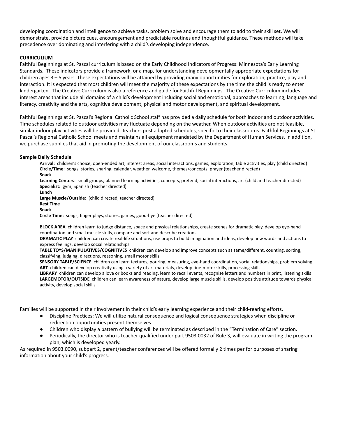developing coordination and intelligence to achieve tasks, problem solve and encourage them to add to their skill set. We will demonstrate, provide picture cues, encouragement and predictable routines and thoughtful guidance. These methods will take precedence over dominating and interfering with a child's developing independence.

## **CURRICULIUM**

Faithful Beginnings at St. Pascal curriculum is based on the Early Childhood Indicators of Progress: Minnesota's Early Learning Standards. These indicators provide a framework, or a map, for understanding developmentally appropriate expectations for children ages 3 – 5 years. These expectations will be attained by providing many opportunities for exploration, practice, play and interaction. It is expected that most children will meet the majority of these expectations by the time the child is ready to enter kindergarten. The Creative Curriculum is also a reference and guide for Faithful Beginnings. The Creative Curriculum includes interest areas that include all domains of a child's development including social and emotional, approaches to learning, language and literacy, creativity and the arts, cognitive development, physical and motor development, and spiritual development.

Faithful Beginnings at St. Pascal's Regional Catholic School staff has provided a daily schedule for both indoor and outdoor activities. Time schedules related to outdoor activities may fluctuate depending on the weather. When outdoor activities are not feasible, similar indoor play activities will be provided. Teachers post adapted schedules, specific to their classrooms. Faithful Beginnings at St. Pascal's Regional Catholic School meets and maintains all equipment mandated by the Department of Human Services. In addition, we purchase supplies that aid in promoting the development of our classrooms and students.

#### **Sample Daily Schedule**

**Arrival:** children's choice, open-ended art, interest areas, social interactions, games, exploration, table activities, play (child directed) **Circle/Time**: songs, stories, sharing, calendar, weather, welcome, themes/concepts, prayer (teacher directed) **Snack**

**Learning Centers**: small groups, planned learning activities, concepts, pretend, social interactions, art (child and teacher directed) **Specialist:** gym, Spanish (teacher directed)

**Lunch**

**Large Muscle/Outside:** (child directed, teacher directed)

**Rest Time**

**Snack**

**Circle Time:** songs, finger plays, stories, games, good-bye (teacher directed)

**BLOCK AREA** children learn to judge distance, space and physical relationships, create scenes for dramatic play, develop eye-hand coordination and small muscle skills, compare and sort and describe creations

**DRAMATIC PLAY** children can create real-life situations, use props to build imagination and ideas, develop new words and actions to express feelings, develop social relationships

**TABLE TOYS/MANIPULATIVES/COGNITIVES** children can develop and improve concepts such as same/different, counting, sorting, classifying, judging, directions, reasoning, small motor skills

**SENSORY TABLE/SCIENCE** children can learn textures, pouring, measuring, eye-hand coordination, social relationships, problem solving **ART** children can develop creativity using a variety of art materials, develop fine-motor skills, processing skills

**LIBRARY** children can develop a love or books and reading, learn to recall events, recognize letters and numbers in print, listening skills **LARGEMOTOR/OUTSIDE** children can learn awareness of nature, develop large muscle skills, develop positive attitude towards physical activity, develop social skills

Families will be supported in their involvement in their child's early learning experience and their child-rearing efforts.

- Discipline Practices: We will utilize natural consequence and logical consequence strategies when discipline or redirection opportunities present themselves.
- Children who display a pattern of bullying will be terminated as described in the "Termination of Care" section.
- Periodically, the director who is teacher qualified under part 9503.0032 of Rule 3, will evaluate in writing the program plan, which is developed yearly.

As required in 9503.0090, subpart 2, parent/teacher conferences will be offered formally 2 times per for purposes of sharing information about your child's progress.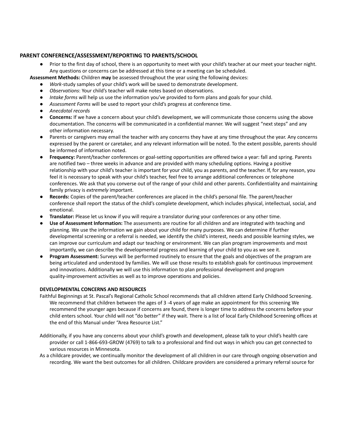## **PARENT CONFERENCE/ASSESSMENT/REPORTING TO PARENTS/SCHOOL**

● Prior to the first day of school, there is an opportunity to meet with your child's teacher at our meet your teacher night. Any questions or concerns can be addressed at this time or a meeting can be scheduled.

**Assessment Methods:** Children **may** be assessed throughout the year using the following devices:

- Work-study samples of your child's work will be saved to demonstrate development.
- Observations: Your child's teacher will make notes based on observations.
- *Intake forms* will help us use the information you've provided to form plans and goals for your child.
- *Assessment Forms* will be used to report your child's progress at conference time.
- *Anecdotal records*
- **Concerns:** If we have a concern about your child's development, we will communicate those concerns using the above documentation. The concerns will be communicated in a confidential manner. We will suggest "next steps" and any other information necessary.
- Parents or caregivers may email the teacher with any concerns they have at any time throughout the year. Any concerns expressed by the parent or caretaker, and any relevant information will be noted. To the extent possible, parents should be informed of information noted.
- **Frequency:** Parent/teacher conferences or goal-setting opportunities are offered twice a year: fall and spring. Parents are notified two – three weeks in advance and are provided with many scheduling options. Having a positive relationship with your child's teacher is important for your child, you as parents, and the teacher. If, for any reason, you feel it is necessary to speak with your child's teacher, feel free to arrange additional conferences or telephone conferences. We ask that you converse out of the range of your child and other parents. Confidentiality and maintaining family privacy is *extremely* important.
- **Records:** Copies of the parent/teacher conferences are placed in the child's personal file. The parent/teacher conference shall report the status of the child's complete development, which includes physical, intellectual, social, and emotional.
- **Translator:** Please let us know if you will require a translator during your conferences or any other time.
- **Use of Assessment Information:** The assessments are routine for all children and are integrated with teaching and planning. We use the information we gain about your child for many purposes. We can determine if further developmental screening or a referral is needed, we identify the child's interest, needs and possible learning styles, we can improve our curriculum and adapt our teaching or environment. We can plan program improvements and most importantly, we can describe the developmental progress and learning of your child to you as we see it.
- **Program Assessment:** Surveys will be performed routinely to ensure that the goals and objectives of the program are being articulated and understood by families. We will use those results to establish goals for continuous improvement and innovations. Additionally we will use this information to plan professional development and program quality-improvement activities as well as to improve operations and policies.

## **DEVELOPMENTAL CONCERNS AND RESOURCES**

- Faithful Beginnings at St. Pascal's Regional Catholic School recommends that all children attend Early Childhood Screening. We recommend that children between the ages of 3 -4 years of age make an appointment for this screening We recommend the younger ages because if concerns are found, there is longer time to address the concerns before your child enters school. Your child will not "do better" if they wait. There is a list of local Early Childhood Screening offices at the end of this Manual under "Area Resource List."
- Additionally, if you have any concerns about your child's growth and development, please talk to your child's health care provider or call 1-866-693-GROW (4769) to talk to a professional and find out ways in which you can get connected to various resources in Minnesota.
- As a childcare provider, we continually monitor the development of all children in our care through ongoing observation and recording. We want the best outcomes for all children. Childcare providers are considered a primary referral source for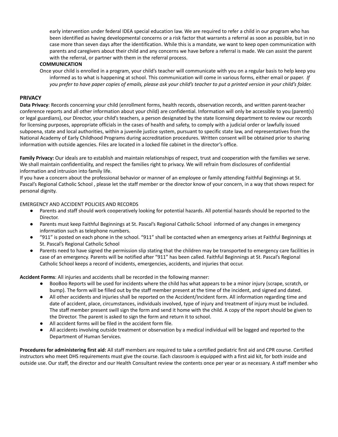early intervention under federal IDEA special education law. We are required to refer a child in our program who has been identified as having developmental concerns or a risk factor that warrants a referral as soon as possible, but in no case more than seven days after the identification. While this is a mandate, we want to keep open communication with parents and caregivers about their child and any concerns we have before a referral is made. We can assist the parent with the referral, or partner with them in the referral process.

#### **COMMUNICATION**

Once your child is enrolled in a program, your child's teacher will communicate with you on a regular basis to help keep you informed as to what is happening at school. This communication will come in various forms, either email or paper. *If* you prefer to have paper copies of emails, please ask your child's teacher to put a printed version in your child's folder.

#### **PRIVACY**

**Data Privacy**: Records concerning your child (enrollment forms, health records, observation records, and written parent-teacher conference reports and all other information about your child) are confidential. Information will only be accessible to you (parent(s) or legal guardians), our Director, your child's teachers, a person designated by the state licensing department to review our records for licensing purposes, appropriate officials in the cases of health and safety, to comply with a judicial order or lawfully issued subpoena, state and local authorities, within a juvenile justice system, pursuant to specific state law, and representatives from the National Academy of Early Childhood Programs during accreditation procedures. Written consent will be obtained prior to sharing information with outside agencies. Files are located in a locked file cabinet in the director's office.

**Family Privacy:** Our ideals are to establish and maintain relationships of respect, trust and cooperation with the families we serve. We shall maintain confidentiality, and respect the families right to privacy. We will refrain from disclosures of confidential information and intrusion into family life.

If you have a concern about the professional behavior or manner of an employee or family attending Faithful Beginnings at St. Pascal's Regional Catholic School , please let the staff member or the director know of your concern, in a way that shows respect for personal dignity.

## EMERGENCY AND ACCIDENT POLICIES AND RECORDS

- Parents and staff should work cooperatively looking for potential hazards. All potential hazards should be reported to the Director.
- Parents must keep Faithful Beginnings at St. Pascal's Regional Catholic School informed of any changes in emergency information such as telephone numbers.
- "911" is posted on each phone in the school. "911" shall be contacted when an emergency arises at Faithful Beginnings at St. Pascal's Regional Catholic School
- Parents need to have signed the permission slip stating that the children may be transported to emergency care facilities in case of an emergency. Parents will be notified after "911" has been called. Faithful Beginnings at St. Pascal's Regional Catholic School keeps a record of incidents, emergencies, accidents, and injuries that occur.

**Accident Forms**: All injuries and accidents shall be recorded in the following manner:

- BooBoo Reports will be used for incidents where the child has what appears to be a minor injury (scrape, scratch, or bump). The form will be filled out by the staff member present at the time of the incident, and signed and dated.
- All other accidents and injuries shall be reported on the Accident/Incident form. All information regarding time and date of accident, place, circumstances, individuals involved, type of injury and treatment of injury must be included. The staff member present swill sign the form and send it home with the child. A copy of the report should be given to the Director. The parent is asked to sign the form and return it to school.
- All accident forms will be filed in the accident form file.
- All accidents involving outside treatment or observation by a medical individual will be logged and reported to the Department of Human Services.

**Procedures for administering first aid:** All staff members are required to take a certified pediatric first aid and CPR course. Certified instructors who meet DHS requirements must give the course. Each classroom is equipped with a first aid kit, for both inside and outside use. Our staff, the director and our Health Consultant review the contents once per year or as necessary. A staff member who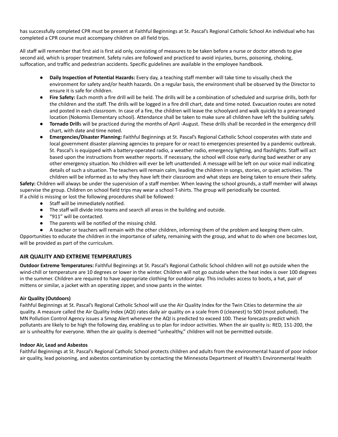has successfully completed CPR must be present at Faithful Beginnings at St. Pascal's Regional Catholic School An individual who has completed a CPR course must accompany children on all field trips.

All staff will remember that first aid is first aid only, consisting of measures to be taken before a nurse or doctor attends to give second aid, which is proper treatment. Safety rules are followed and practiced to avoid injuries, burns, poisoning, choking, suffocation, and traffic and pedestrian accidents. Specific guidelines are available in the employee handbook.

- **Daily Inspection of Potential Hazards:** Every day, a teaching staff member will take time to visually check the environment for safety and/or health hazards. On a regular basis, the environment shall be observed by the Director to ensure it is safe for children.
- **Fire Safety:** Each month a fire drill will be held. The drills will be a combination of scheduled and surprise drills, both for the children and the staff. The drills will be logged in a fire drill chart, date and time noted. Evacuation routes are noted and posted in each classroom. In case of a fire, the children will leave the schoolyard and walk quickly to a prearranged location (Nokomis Elementary school). Attendance shall be taken to make sure all children have left the building safely.
- **Tornado Drill**s will be practiced during the months of April -August. These drills shall be recorded in the emergency drill chart, with date and time noted.
- **Emergencies/Disaster Planning:** Faithful Beginnings at St. Pascal's Regional Catholic School cooperates with state and local government disaster planning agencies to prepare for or react to emergencies presented by a pandemic outbreak. St. Pascal's is equipped with a battery-operated radio, a weather radio, emergency lighting, and flashlights. Staff will act based upon the instructions from weather reports. If necessary, the school will close early during bad weather or any other emergency situation. No children will ever be left unattended. A message will be left on our voice mail indicating details of such a situation. The teachers will remain calm, leading the children in songs, stories, or quiet activities. The children will be informed as to why they have left their classroom and what steps are being taken to ensure their safety.

**Safety:** Children will always be under the supervision of a staff member. When leaving the school grounds, a staff member will always supervise the group. Children on school field trips may wear a school T-shirts. The group will periodically be counted. If a child is missing or lost the following procedures shall be followed:

- Staff will be immediately notified.
- The staff will divide into teams and search all areas in the building and outside.
- "911" will be contacted.
- The parents will be notified of the missing child.
- A teacher or teachers will remain with the other children, informing them of the problem and keeping them calm.

Opportunities to educate the children in the importance of safety, remaining with the group, and what to do when one becomes lost, will be provided as part of the curriculum.

## **AIR QUALITY AND EXTREME TEMPERATURES**

**Outdoor Extreme Temperatures:** Faithful Beginnings at St. Pascal's Regional Catholic School children will not go outside when the wind-chill or temperature are 10 degrees or lower in the winter. Children will not go outside when the heat index is over 100 degrees in the summer. Children are required to have appropriate clothing for outdoor play. This includes access to boots, a hat, pair of mittens or similar, a jacket with an operating zipper, and snow pants in the winter.

## **Air Quality (Outdoors)**

Faithful Beginnings at St. Pascal's Regional Catholic School will use the Air Quality Index for the Twin Cities to determine the air quality. A measure called the Air Quality Index (AQI) rates daily air quality on a scale from 0 (cleanest) to 500 (most polluted). The MN Pollution Control Agency issues a Smog Alert whenever the AQI is predicted to exceed 100. These forecasts predict which pollutants are likely to be high the following day, enabling us to plan for indoor activities. When the air quality is: RED, 151-200, the air is unhealthy for everyone. When the air quality is deemed "unhealthy," children will not be permitted outside.

## **Indoor Air, Lead and Asbestos**

Faithful Beginnings at St. Pascal's Regional Catholic School protects children and adults from the environmental hazard of poor indoor air quality, lead poisoning, and asbestos contamination by contacting the Minnesota Department of Health's Environmental Health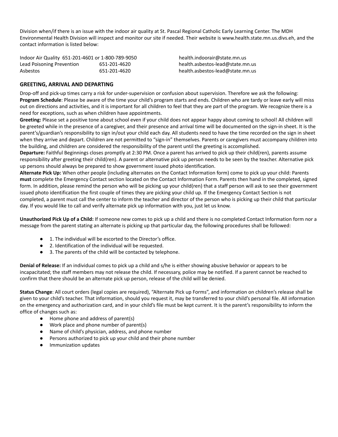Division when/if there is an issue with the indoor air quality at St. Pascal Regional Catholic Early Learning Center. The MDH Environmental Health Division will inspect and monitor our site if needed. Their website is www.health.state.mn.us.divs.eh, and the contact information is listed below:

| Indoor Air Quality 651-201-4601 or 1-800-789-9050 |              | health.indoorair@state.mn.us     |
|---------------------------------------------------|--------------|----------------------------------|
| Lead Poisoning Prevention                         | 651-201-4620 | health.asbestos-lead@state.mn.us |
| Asbestos                                          | 651-201-4620 | health.asbestos-lead@state.mn.us |

## **GREETING, ARRIVAL AND DEPARTING**

Drop-off and pick-up times carry a risk for under-supervision or confusion about supervision. Therefore we ask the following: **Program Schedule**: Please be aware of the time your child's program starts and ends. Children who are tardy or leave early will miss out on directions and activities, and it is important for all children to feel that they are part of the program. We recognize there is a need for exceptions, such as when children have appointments.

**Greeting:** Please set a positive tone about school even if your child does not appear happy about coming to school! All children will be greeted while in the presence of a caregiver, and their presence and arrival time will be documented on the sign-in sheet. It is the parent's/guardian's responsibility to sign in/out your child each day. All students need to have the time recorded on the sign in sheet when they arrive and depart. Children are not permitted to "sign-in" themselves. Parents or caregivers must accompany children into the building, and children are considered the responsibility of the parent until the greeting is accomplished.

**Departure:** Faithful Beginnings closes promptly at 2:30 PM. Once a parent has arrived to pick up their child(ren), parents assume responsibility after greeting their child(ren). A parent or alternative pick up person needs to be seen by the teacher. Alternative pick up persons should always be prepared to show government issued photo identification.

**Alternate Pick Up:** When other people (including alternates on the Contact Information form) come to pick up your child: Parents **must** complete the Emergency Contact section located on the Contact Information Form. Parents then hand in the completed, signed form. In addition, please remind the person who will be picking up your child(ren) that a staff person will ask to see their government issued photo identification the first couple of times they are picking your child up. If the Emergency Contact Section is not completed, a parent must call the center to inform the teacher and director of the person who is picking up their child that particular day. If you would like to call and verify alternate pick up information with you, just let us know.

**Unauthorized Pick Up of a Child:** If someone new comes to pick up a child and there is no completed Contact Information form nor a message from the parent stating an alternate is picking up that particular day, the following procedures shall be followed:

- 1. The individual will be escorted to the Director's office.
- 2. Identification of the individual will be requested.
- 3. The parents of the child will be contacted by telephone.

**Denial of Release:** If an individual comes to pick up a child and s/he is either showing abusive behavior or appears to be incapacitated; the staff members may not release the child. If necessary, police may be notified. If a parent cannot be reached to confirm that there should be an alternate pick up person, release of the child will be denied.

**Status Change**: All court orders (legal copies are required), "Alternate Pick up Forms", and information on children's release shall be given to your child's teacher. That information, should you request it, may be transferred to your child's personal file. All information on the emergency and authorization card, and in your child's file must be kept current. It is the parent's responsibility to inform the office of changes such as:

- Home phone and address of parent(s)
- Work place and phone number of parent(s)
- Name of child's physician, address, and phone number
- Persons authorized to pick up your child and their phone number
- Immunization updates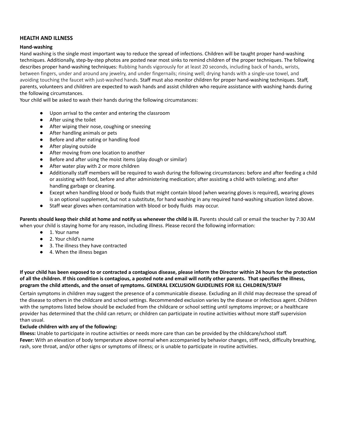## **HEALTH AND ILLNESS**

#### **Hand-washing**

Hand washing is the single most important way to reduce the spread of infections. Children will be taught proper hand-washing techniques. Additionally, step-by-step photos are posted near most sinks to remind children of the proper techniques. The following describes proper hand-washing techniques: Rubbing hands vigorously for at least 20 seconds, including back of hands, wrists, between fingers, under and around any jewelry, and under fingernails; rinsing well; drying hands with a single-use towel, and avoiding touching the faucet with just-washed hands. Staff must also monitor children for proper hand-washing techniques. Staff, parents, volunteers and children are expected to wash hands and assist children who require assistance with washing hands during the following circumstances.

Your child will be asked to wash their hands during the following circumstances:

- Upon arrival to the center and entering the classroom
- After using the toilet
- After wiping their nose, coughing or sneezing
- After handling animals or pets
- Before and after eating or handling food
- After playing outside
- After moving from one location to another
- Before and after using the moist items (play dough or similar)
- After water play with 2 or more children
- Additionally staff members will be required to wash during the following circumstances: before and after feeding a child or assisting with food, before and after administering medication; after assisting a child with toileting; and after handling garbage or cleaning.
- Except when handling blood or body fluids that might contain blood (when wearing gloves is required), wearing gloves is an optional supplement, but not a substitute, for hand washing in any required hand-washing situation listed above.
- Staff wear gloves when contamination with blood or body fluids may occur.

Parents should keep their child at home and notify us whenever the child is ill. Parents should call or email the teacher by 7:30 AM when your child is staying home for any reason, including illness. Please record the following information:

- 1. Your name
- 2. Your child's name
- 3. The illness they have contracted
- 4. When the illness began

## If your child has been exposed to or contracted a contagious disease, please inform the Director within 24 hours for the protection of all the children. If this condition is contagious, a posted note and email will notify other parents. That specifies the illness, **program the child attends, and the onset of symptoms. GENERAL EXCLUSION GUIDELINES FOR ILL CHILDREN/STAFF**

Certain symptoms in children may suggest the presence of a communicable disease. Excluding an ill child may decrease the spread of the disease to others in the childcare and school settings. Recommended exclusion varies by the disease or infectious agent. Children with the symptoms listed below should be excluded from the childcare or school setting until symptoms improve; or a healthcare provider has determined that the child can return; or children can participate in routine activities without more staff supervision than usual.

#### **Exclude children with any of the following:**

**Illness:** Unable to participate in routine activities or needs more care than can be provided by the childcare/school staff. **Fever:** With an elevation of body temperature above normal when accompanied by behavior changes, stiff neck, difficulty breathing, rash, sore throat, and/or other signs or symptoms of illness; or is unable to participate in routine activities.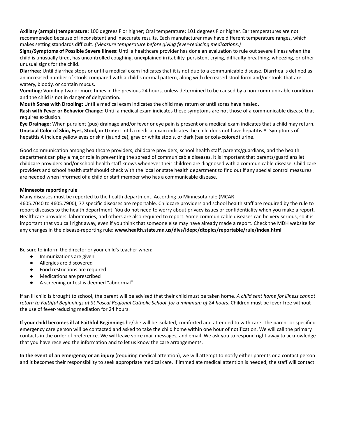**Axillary (armpit) temperature:** 100 degrees F or higher; Oral temperature: 101 degrees F or higher. Ear temperatures are not recommended because of inconsistent and inaccurate results. Each manufacturer may have different temperature ranges, which makes setting standards difficult. *(Measure temperature before giving fever-reducing medications.)*

**Signs/Symptoms of Possible Severe Illness:** Until a healthcare provider has done an evaluation to rule out severe illness when the child is unusually tired, has uncontrolled coughing, unexplained irritability, persistent crying, difficulty breathing, wheezing, or other unusual signs for the child.

**Diarrhea:** Until diarrhea stops or until a medical exam indicates that it is not due to a communicable disease. Diarrhea is defined as an increased number of stools compared with a child's normal pattern, along with decreased stool form and/or stools that are watery, bloody, or contain mucus.

**Vomiting:** Vomiting two or more times in the previous 24 hours, unless determined to be caused by a non-communicable condition and the child is not in danger of dehydration.

**Mouth Sores with Drooling:** Until a medical exam indicates the child may return or until sores have healed.

**Rash with Fever or Behavior Change:** Until a medical exam indicates these symptoms are not those of a communicable disease that requires exclusion.

**Eye Drainage:** When purulent (pus) drainage and/or fever or eye pain is present or a medical exam indicates that a child may return. **Unusual Color of Skin, Eyes, Stool, or Urine:** Until a medical exam indicates the child does not have hepatitis A. Symptoms of hepatitis A include yellow eyes or skin (jaundice), gray or white stools, or dark (tea or cola-colored) urine.

Good communication among healthcare providers, childcare providers, school health staff, parents/guardians, and the health department can play a major role in preventing the spread of communicable diseases. It is important that parents/guardians let childcare providers and/or school health staff knows whenever their children are diagnosed with a communicable disease. Child care providers and school health staff should check with the local or state health department to find out if any special control measures are needed when informed of a child or staff member who has a communicable disease.

## **Minnesota reporting rule**

Many diseases must be reported to the health department. According to Minnesota rule (MCAR

4605.7040 to 4605.7900), 77 specific diseases are reportable. Childcare providers and school health staff are required by the rule to report diseases to the health department. You do not need to worry about privacy issues or confidentiality when you make a report. Healthcare providers, laboratories, and others are also required to report. Some communicable diseases can be very serious, so it is important that you call right away, even if you think that someone else may have already made a report. Check the MDH website for any changes in the disease-reporting rule: **www.health.state.mn.us/divs/idepc/dtopics/reportable/rule/index.html**

Be sure to inform the director or your child's teacher when:

- Immunizations are given
- Allergies are discovered
- Food restrictions are required
- Medications are prescribed
- A screening or test is deemed "abnormal"

If an ill child is brought to school, the parent will be advised that their child must be taken home. *A child sent home for illness cannot* return to Faithful Beginnings at St Pascal Regional Catholic School for a minimum of 24 hours. Children must be fever-free without the use of fever-reducing mediation for 24 hours.

**If your child becomes ill at Faithful Beginnings** he/she will be isolated, comforted and attended to with care. The parent or specified emergency care person will be contacted and asked to take the child home within one hour of notification. We will call the primary contacts in the order of preference. We will leave voice mail messages, and email. We ask you to respond right away to acknowledge that you have received the information and to let us know the care arrangements.

**In the event of an emergency or an injury** (requiring medical attention), we will attempt to notify either parents or a contact person and it becomes their responsibility to seek appropriate medical care. If immediate medical attention is needed, the staff will contact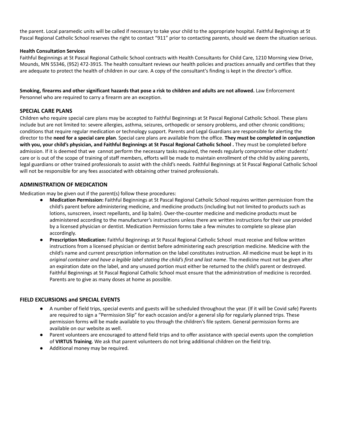the parent. Local paramedic units will be called if necessary to take your child to the appropriate hospital. Faithful Beginnings at St Pascal Regional Catholic School reserves the right to contact "911" prior to contacting parents, should we deem the situation serious.

## **Health Consultation Services**

Faithful Beginnings at St Pascal Regional Catholic School contracts with Health Consultants for Child Care, 1210 Morning view Drive, Mounds, MN 55346, (952) 472-3915. The health consultant reviews our health policies and practices annually and certifies that they are adequate to protect the health of children in our care. A copy of the consultant's finding is kept in the director's office.

Smoking, firearms and other significant hazards that pose a risk to children and adults are not allowed. Law Enforcement Personnel who are required to carry a firearm are an exception.

## **SPECIAL CARE PLANS**

Children who require special care plans may be accepted to Faithful Beginnings at St Pascal Regional Catholic School. These plans include but are not limited to: severe allergies, asthma, seizures, orthopedic or sensory problems, and other chronic conditions; conditions that require regular medication or technology support. Parents and Legal Guardians are responsible for alerting the director to the **need for a special care plan**. Special care plans are available from the office. **They must be completed in conjunction** with you, your child's physician, and Faithful Beginnings at St Pascal Regional Catholic School . They must be completed before admission. If it is deemed that we cannot perform the necessary tasks required, the needs regularly compromise other students' care or is out of the scope of training of staff members, efforts will be made to maintain enrollment of the child by asking parents, legal guardians or other trained professionals to assist with the child's needs. Faithful Beginnings at St Pascal Regional Catholic School will not be responsible for any fees associated with obtaining other trained professionals.

## **ADMINISTRATION OF MEDICATION**

Medication may be given out if the parent(s) follow these procedures:

- **Medication Permission:** Faithful Beginnings at St Pascal Regional Catholic School requires written permission from the child's parent before administering medicine, and medicine products (including but not limited to products such as lotions, sunscreen, insect repellants, and lip balm). Over-the-counter medicine and medicine products must be administered according to the manufacturer's instructions unless there are written instructions for their use provided by a licensed physician or dentist. Medication Permission forms take a few minutes to complete so please plan accordingly.
- **Prescription Medication:** Faithful Beginnings at St Pascal Regional Catholic School must receive and follow written instructions from a licensed physician or dentist before administering each prescription medicine. Medicine with the child's name and current prescription information on the label constitutes instruction. All medicine must be kept in its *original container and have a legible label stating the child's first and last name*. The medicine must not be given after an expiration date on the label, and any unused portion must either be returned to the child's parent or destroyed. Faithful Beginnings at St Pascal Regional Catholic School must ensure that the administration of medicine is recorded. Parents are to give as many doses at home as possible.

## **FIELD EXCURSIONS and SPECIAL EVENTS**

- A number of field trips, special events and guests will be scheduled throughout the year. (If it will be Covid safe) Parents are required to sign a "Permission Slip" for each occasion and/or a general slip for regularly planned trips. These permission forms will be made available to you through the children's file system. General permission forms are available on our website as well.
- Parent volunteers are encouraged to attend field trips and to offer assistance with special events upon the completion of **VIRTUS Training**. We ask that parent volunteers do not bring additional children on the field trip.
- Additional money may be required.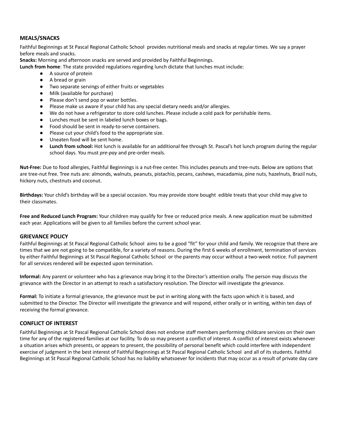## **MEALS/SNACKS**

Faithful Beginnings at St Pascal Regional Catholic School provides nutritional meals and snacks at regular times. We say a prayer before meals and snacks.

**Snacks:** Morning and afternoon snacks are served and provided by Faithful Beginnings.

**Lunch from home**: The state provided regulations regarding lunch dictate that lunches must include:

- A source of protein
- A bread or grain
- Two separate servings of either fruits or vegetables
- Milk (available for purchase)
- Please don't send pop or water bottles.
- Please make us aware if your child has any special dietary needs and/or allergies.
- We do not have a refrigerator to store cold lunches. Please include a cold pack for perishable items.
- Lunches must be sent in labeled lunch boxes or bags.
- Food should be sent in ready-to-serve containers.
- Please cut your child's food to the appropriate size.
- Uneaten food will be sent home.
- **● Lunch from school:** Hot lunch is available for an additional fee through St. Pascal's hot lunch program during the regular school days. You must *pre-pay* and pre-order meals.

**Nut-Free:** Due to food allergies, Faithful Beginnings is a nut-free center. This includes peanuts and tree-nuts. Below are options that are tree-nut free. Tree nuts are: almonds, walnuts, peanuts, pistachio, pecans, cashews, macadamia, pine nuts, hazelnuts, Brazil nuts, hickory nuts, chestnuts and coconut.

**Birthdays:** Your child's birthday will be a special occasion. You may provide store bought edible treats that your child may give to their classmates.

**Free and Reduced Lunch Program:** Your children may qualify for free or reduced price meals. A new application must be submitted each year. Applications will be given to all families before the current school year.

## **GRIEVANCE POLICY**

Faithful Beginnings at St Pascal Regional Catholic School aims to be a good "fit" for your child and family. We recognize that there are times that we are not going to be compatible, for a variety of reasons. During the first 6 weeks of enrollment, termination of services by either Faithful Beginnings at St Pascal Regional Catholic School or the parents may occur without a two-week notice. Full payment for all services rendered will be expected upon termination.

**Informal:** Any parent or volunteer who has a grievance may bring it to the Director's attention orally. The person may discuss the grievance with the Director in an attempt to reach a satisfactory resolution. The Director will investigate the grievance.

**Formal:** To initiate a formal grievance, the grievance must be put in writing along with the facts upon which it is based, and submitted to the Director. The Director will investigate the grievance and will respond, either orally or in writing, within ten days of receiving the formal grievance.

## **CONFLICT OF INTEREST**

Faithful Beginnings at St Pascal Regional Catholic School does not endorse staff members performing childcare services on their own time for any of the registered families at our facility. To do so may present a conflict of interest. A conflict of interest exists whenever a situation arises which presents, or appears to present, the possibility of personal benefit which could interfere with independent exercise of judgment in the best interest of Faithful Beginnings at St Pascal Regional Catholic School and all of its students. Faithful Beginnings at St Pascal Regional Catholic School has no liability whatsoever for incidents that may occur as a result of private day care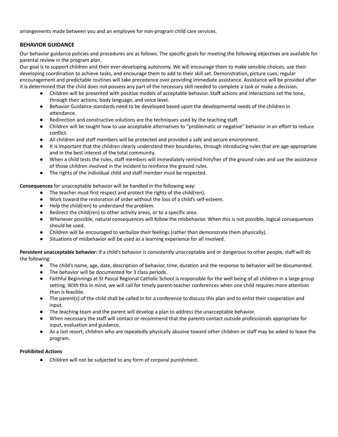arrangements made between you and an employee for non-program child care services.

## **BEHAVIOR GUIDANCE**

Our behavior guidance policies and procedures are as follows. The specific goals for meeting the following objectives are available for parental review in the program plan.

Our goal is to support children and their ever-developing autonomy. We will encourage them to make sensible choices, use their developing coordination to achieve tasks, and encourage them to add to their skill set. Demonstration, picture cues, regular encouragement and predictable routines will take precedence over providing immediate assistance. Assistance will be provided after it is determined that the child does not possess any part of the necessary skill needed to complete a task or make a decision.

- Children will be presented with positive models of acceptable behavior. Staff actions and interactions set the tone, through their actions, body language, and voice level.
- Behavior Guidance standards need to be developed based upon the developmental needs of the children in attendance.
- Redirection and constructive solutions are the techniques used by the teaching staff.
- Children will be taught how to use acceptable alternatives to "problematic or negative" behavior in an effort to reduce conflict.
- All children and staff members will be protected and provided a safe and secure environment.
- It is important that the children clearly understand their boundaries, through introducing rules that are age-appropriate and in the best interest of the total community.
- When a child tests the rules, staff members will immediately remind him/her of the ground rules and use the assistance of those children involved in the incident to reinforce the ground rules.
- The rights of the individual child and staff member must be respected.

**Consequences** for unacceptable behavior will be handled in the following way:

- The teacher must first respect and protect the rights of the child(ren).
- Work toward the restoration of order without the loss of a child's self-esteem.
- Help the child(ren) to understand the problem.
- Redirect the child(ren) to other activity areas, or to a specific area.
- Whenever possible, natural consequences will follow the misbehavior. When this is not possible, logical consequences should be used.
- Children will be encouraged to verbalize their feelings (rather than demonstrate them physically).
- Situations of misbehavior will be used as a learning experience for all involved.

**Persistent unacceptable behavior:** If a child's behavior is consistently unacceptable and or dangerous to other people, staff will do the following:

- The child's name, age, date, description of behavior, time, duration and the response to behavior will be documented.
- The behavior will be documented for 3 class periods.
- Faithful Beginnings at St Pascal Regional Catholic School is responsible for the well being of all children in a large group setting. With this in mind, we will call for timely parent-teacher conferences when one child requires more attention than is feasible.
- The parent(s) of the child shall be called in for a conference to discuss this plan and to enlist their cooperation and input.
- The teaching team and the parent will develop a plan to address the unacceptable behavior.
- When necessary the staff will contact or recommend that the parents contact outside professionals appropriate for input, evaluation and guidance.
- As a last resort, children who are repeatedly physically abusive toward other children or staff may be asked to leave the program.

## **Prohibited Actions**

● Children will not be subjected to any form of corporal punishment.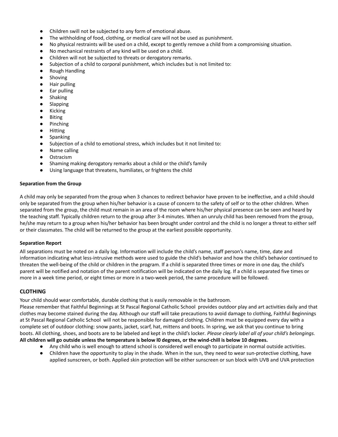- Children swill not be subjected to any form of emotional abuse.
- The withholding of food, clothing, or medical care will not be used as punishment.
- No physical restraints will be used on a child, except to gently remove a child from a compromising situation.
- No mechanical restraints of any kind will be used on a child.
- Children will not be subjected to threats or derogatory remarks.
- **●** Subjection of a child to corporal punishment, which includes but is not limited to:
- Rough Handling
- Shoving
- Hair pulling
- Ear pulling
- Shaking
- Slapping
- Kicking
- Biting
- Pinching
- Hitting
- Spanking
- **●** Subjection of a child to emotional stress, which includes but it not limited to:
- Name calling
- Ostracism
- Shaming making derogatory remarks about a child or the child's family
- **●** Using language that threatens, humiliates, or frightens the child

## **Separation from the Group**

A child may only be separated from the group when 3 chances to redirect behavior have proven to be ineffective, and a child should only be separated from the group when his/her behavior is a cause of concern to the safety of self or to the other children. When separated from the group, the child must remain in an area of the room where his/her physical presence can be seen and heard by the teaching staff. Typically children return to the group after 3-4 minutes. When an unruly child has been removed from the group, he/she may return to a group when his/her behavior has been brought under control and the child is no longer a threat to either self or their classmates. The child will be returned to the group at the earliest possible opportunity.

## **Separation Report**

All separations must be noted on a daily log. Information will include the child's name, staff person's name, time, date and information indicating what less-intrusive methods were used to guide the child's behavior and how the child's behavior continued to threaten the well-being of the child or children in the program. If a child is separated three times or more in one day, the child's parent will be notified and notation of the parent notification will be indicated on the daily log. If a child is separated five times or more in a week time period, or eight times or more in a two-week period, the same procedure will be followed.

## **CLOTHING**

Your child should wear comfortable, durable clothing that is easily removable in the bathroom.

Please remember that Faithful Beginnings at St Pascal Regional Catholic School provides outdoor play and art activities daily and that clothes may become stained during the day. Although our staff will take precautions to avoid damage to clothing, Faithful Beginnings at St Pascal Regional Catholic School will not be responsible for damaged clothing. Children must be equipped every day with a complete set of outdoor clothing: snow pants, jacket, scarf, hat, mittens and boots. In spring, we ask that you continue to bring boots. All clothing, shoes, and boots are to be labeled and kept in the child's locker*. Please clearly label all of your child's belongings.* All children will go outside unless the temperature is below IO degrees, or the wind-chill is below 10 degrees.

- Any child who is well enough to attend school is considered well enough to participate in normal outside activities.
- Children have the opportunity to play in the shade. When in the sun, they need to wear sun-protective clothing, have applied sunscreen, or both. Applied skin protection will be either sunscreen or sun block with UVB and UVA protection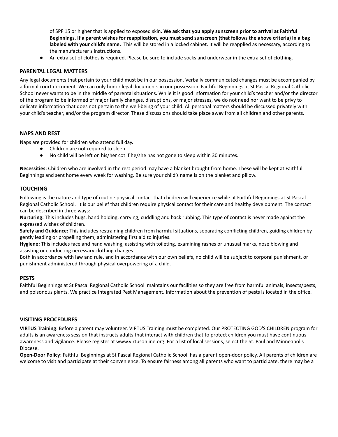of SPF 15 or higher that is applied to exposed skin. **We ask that you apply sunscreen prior to arrival at Faithful** Beginnings. If a parent wishes for reapplication, you must send sunscreen (that follows the above criteria) in a bag **labeled with your child's name.** This will be stored in a locked cabinet. It will be reapplied as necessary, according to the manufacturer's instructions.

An extra set of clothes is required. Please be sure to include socks and underwear in the extra set of clothing.

## **PARENTAL LEGAL MATTERS**

Any legal documents that pertain to your child must be in our possession. Verbally communicated changes must be accompanied by a formal court document. We can only honor legal documents in our possession. Faithful Beginnings at St Pascal Regional Catholic School never wants to be in the middle of parental situations. While it is good information for your child's teacher and/or the director of the program to be informed of major family changes, disruptions, or major stresses, we do not need nor want to be privy to delicate information that does not pertain to the well-being of your child. All personal matters should be discussed privately with your child's teacher, and/or the program director. These discussions should take place away from all children and other parents.

## **NAPS AND REST**

Naps are provided for children who attend full day.

- Children are not required to sleep.
- No child will be left on his/her cot if he/she has not gone to sleep within 30 minutes.

**Necessities:** Children who are involved in the rest period may have a blanket brought from home. These will be kept at Faithful Beginnings and sent home every week for washing. Be sure your child's name is on the blanket and pillow.

## **TOUCHING**

Following is the nature and type of routine physical contact that children will experience while at Faithful Beginnings at St Pascal Regional Catholic School. It is our belief that children require physical contact for their care and healthy development. The contact can be described in three ways:

**Nurturing:** This includes hugs, hand holding, carrying, cuddling and back rubbing. This type of contact is never made against the expressed wishes of children.

**Safety and Guidance:** This includes restraining children from harmful situations, separating conflicting children, guiding children by gently leading or propelling them, administering first aid to injuries.

**Hygiene:** This includes face and hand washing, assisting with toileting, examining rashes or unusual marks, nose blowing and assisting or conducting necessary clothing changes.

Both in accordance with law and rule, and in accordance with our own beliefs, no child will be subject to corporal punishment, or punishment administered through physical overpowering of a child.

## **PESTS**

Faithful Beginnings at St Pascal Regional Catholic School maintains our facilities so they are free from harmful animals, insects/pests, and poisonous plants. We practice Integrated Pest Management. Information about the prevention of pests is located in the office.

## **VISITING PROCEDURES**

**VIRTUS Training**: Before a parent may volunteer, VIRTUS Training must be completed. Our PROTECTING GOD'S CHILDREN program for adults is an awareness session that instructs adults that interact with children that to protect children you must have continuous awareness and vigilance. Please register at www.virtusonline.org. For a list of local sessions, select the St. Paul and Minneapolis Diocese.

**Open-Door Policy**: Faithful Beginnings at St Pascal Regional Catholic School has a parent open-door policy. All parents of children are welcome to visit and participate at their convenience. To ensure fairness among all parents who want to participate, there may be a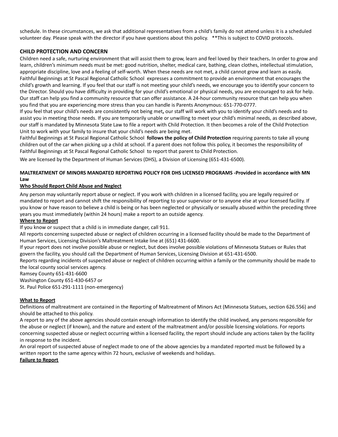schedule. In these circumstances, we ask that additional representatives from a child's family do not attend unless it is a scheduled volunteer day. Please speak with the director if you have questions about this policy. \*\*This is subject to COVID protocols.

## **CHILD PROTECTION AND CONCERN**

Children need a safe, nurturing environment that will assist them to grow, learn and feel loved by their teachers**.** In order to grow and learn, children's minimum needs must be met: good nutrition, shelter, medical care, bathing, clean clothes, intellectual stimulation, appropriate discipline, love and a feeling of self-worth. When these needs are not met, a child cannot grow and learn as easily. Faithful Beginnings at St Pascal Regional Catholic School expresses a commitment to provide an environment that encourages the child's growth and learning. If you feel that our staff is not meeting your child's needs, we encourage you to identify your concern to the Director. Should you have difficulty in providing for your child's emotional or physical needs, you are encouraged to ask for help. Our staff can help you find a community resource that can offer assistance. A 24-hour community resource that can help you when you find that you are experiencing more stress than you can handle is Parents Anonymous: 651-770-0777.

If you feel that your child's needs are consistently not being met**,** our staff will work with you to identify your child's needs and to assist you in meeting those needs. If you are temporarily unable or unwilling to meet your child's minimal needs, as described above, our staff is mandated by Minnesota State Law to file a report with Child Protection. It then becomes a role of the Child Protection Unit to work with your family to insure that your child's needs are being met.

Faithful Beginnings at St Pascal Regional Catholic School **follows the policy of Child Protection** requiring parents to take all young children out of the car when picking up a child at school. If a parent does not follow this policy, it becomes the responsibility of Faithful Beginnings at St Pascal Regional Catholic School to report that parent to Child Protection.

We are licensed by the Department of Human Services (DHS), a Division of Licensing (651-431-6500).

## **MALTREATMENT OF MINORS MANDATED REPORTING POLICY FOR DHS LICENSED PROGRAMS -Provided in accordance with MN Law**

## **Who Should Report Child Abuse and Neglect**

Any person may voluntarily report abuse or neglect. If you work with children in a licensed facility, you are legally required or mandated to report and cannot shift the responsibility of reporting to your supervisor or to anyone else at your licensed facility. If you know or have reason to believe a child is being or has been neglected or physically or sexually abused within the preceding three years you must immediately (within 24 hours) make a report to an outside agency.

## **Where to Report**

If you know or suspect that a child is in immediate danger, call 911.

All reports concerning suspected abuse or neglect of children occurring in a licensed facility should be made to the Department of Human Services, Licensing Division's Maltreatment Intake line at (651) 431-6600.

If your report does not involve possible abuse or neglect, but does involve possible violations of Minnesota Statues or Rules that govern the facility, you should call the Department of Human Services, Licensing Division at 651-431-6500.

Reports regarding incidents of suspected abuse or neglect of children occurring within a family or the community should be made to the local county social services agency.

Ramsey County 651-431-6600

Washington County 651-430-6457 or

St. Paul Police 651-291-1111 (non-emergency)

## **What to Report**

Definitions of maltreatment are contained in the Reporting of Maltreatment of Minors Act (Minnesota Statues, section 626.556) and should be attached to this policy.

A report to any of the above agencies should contain enough information to identify the child involved, any persons responsible for the abuse or neglect (if known), and the nature and extent of the maltreatment and/or possible licensing violations. For reports concerning suspected abuse or neglect occurring within a licensed facility, the report should include any actions taken by the facility in response to the incident.

An oral report of suspected abuse of neglect made to one of the above agencies by a mandated reported must be followed by a written report to the same agency within 72 hours, exclusive of weekends and holidays.

## **Failure to Report**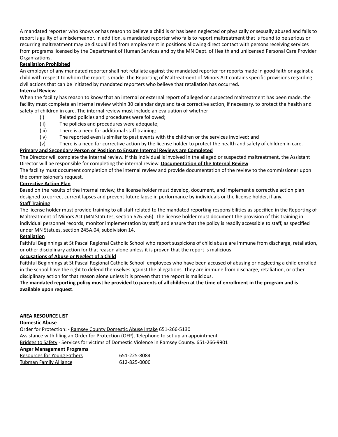A mandated reporter who knows or has reason to believe a child is or has been neglected or physically or sexually abused and fails to report is guilty of a misdemeanor. In addition, a mandated reporter who fails to report maltreatment that is found to be serious or recurring maltreatment may be disqualified from employment in positions allowing direct contact with persons receiving services from programs licensed by the Department of Human Services and by the MN Dept. of Health and unlicensed Personal Care Provider Organizations.

## **Retaliation Prohibited**

An employer of any mandated reporter shall not retaliate against the mandated reporter for reports made in good faith or against a child with respect to whom the report is made. The Reporting of Maltreatment of Minors Act contains specific provisions regarding civil actions that can be initiated by mandated reporters who believe that retaliation has occurred.

## **Internal Review**

When the facility has reason to know that an internal or external report of alleged or suspected maltreatment has been made, the facility must complete an internal review within 30 calendar days and take corrective action, if necessary, to protect the health and safety of children in care. The internal review must include an evaluation of whether

- (i) Related policies and procedures were followed;
- (ii) The policies and procedures were adequate;
- (iii) There is a need for additional staff training;
- (iv) The reported even is similar to past events with the children or the services involved; and

(v) There is a need for corrective action by the license holder to protect the health and safety of children in care. **Primary and Secondary Person or Position to Ensure Internal Reviews are Completed**

The Director will complete the internal review. If this individual is involved in the alleged or suspected maltreatment, the Assistant Director will be responsible for completing the internal review. **Documentation of the Internal Review**

The facility must document completion of the internal review and provide documentation of the review to the commissioner upon the commissioner's request.

## **Corrective Action Plan**

Based on the results of the internal review, the license holder must develop, document, and implement a corrective action plan designed to correct current lapses and prevent future lapse in performance by individuals or the license holder, if any.

## **Staff Training**

The license holder must provide training to all staff related to the mandated reporting responsibilities as specified in the Reporting of Maltreatment of Minors Act (MN Statutes, section 626.556). The license holder must document the provision of this training in individual personnel records, monitor implementation by staff, and ensure that the policy is readily accessible to staff, as specified under MN Statues, section 245A.04, subdivision 14.

## **Retaliation**

Faithful Beginnings at St Pascal Regional Catholic School who report suspicions of child abuse are immune from discharge, retaliation, or other disciplinary action for that reason alone unless it is proven that the report is malicious.

## **Accusations of Abuse or Neglect of a Child**

Faithful Beginnings at St Pascal Regional Catholic School employees who have been accused of abusing or neglecting a child enrolled in the school have the right to defend themselves against the allegations. They are immune from discharge, retaliation, or other disciplinary action for that reason alone unless it is proven that the report is malicious.

## The mandated reporting policy must be provided to parents of all children at the time of enrollment in the program and is **available upon request**.

#### **AREA RESOURCE LIST**

## **Domestic Abuse**

Order for Protection: - Ramsey County Domestic Abuse Intake 651-266-5130 Assistance with filing an Order for Protection (OFP), Telephone to set up an appointment Bridges to Safety - Services for victims of Domestic Violence in Ramsey County. 651-266-9901

## **Anger Management Programs**

| <b>Resources for Young Fathers</b> | 651-225-8084 |
|------------------------------------|--------------|
| Tubman Family Alliance             | 612-825-0000 |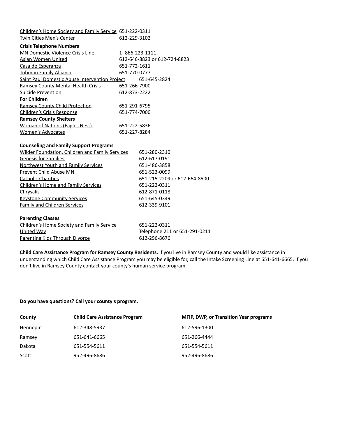| Children's Home Society and Family Service 651-222-0311 |                |                               |
|---------------------------------------------------------|----------------|-------------------------------|
| <b>Twin Cities Men's Center</b>                         | 612-229-3102   |                               |
| <b>Crisis Telephone Numbers</b>                         |                |                               |
| MN Domestic Violence Crisis Line                        | 1-866-223-1111 |                               |
| Asian Women United                                      |                | 612-646-8823 or 612-724-8823  |
| Casa de Esperanza                                       | 651-772-1611   |                               |
| <b>Tubman Family Alliance</b>                           | 651-770-0777   |                               |
| Saint Paul Domestic Abuse Intervention Proiect          |                | 651-645-2824                  |
| Ramsey County Mental Health Crisis                      | 651-266-7900   |                               |
| Suicide Prevention                                      | 612-873-2222   |                               |
| <b>For Children</b>                                     |                |                               |
| <b>Ramsey County Child Protection</b>                   | 651-291-6795   |                               |
| Children's Crisis Response                              | 651-774-7000   |                               |
| <b>Ramsey County Shelters</b>                           |                |                               |
| Woman of Nations (Eagles Nest)                          | 651-222-5836   |                               |
| <b>Women's Advocates</b>                                | 651-227-8284   |                               |
|                                                         |                |                               |
| <b>Counseling and Family Support Programs</b>           |                |                               |
| Wilder Foundation, Children and Family Services         |                | 651-280-2310                  |
| <b>Genesis for Families</b>                             |                | 612-617-0191                  |
| Northwest Youth and Family Services                     |                | 651-486-3858                  |
| Prevent Child Abuse MN                                  |                | 651-523-0099                  |
| <b>Catholic Charities</b>                               |                | 651-215-2209 or 612-664-8500  |
| Children's Home and Family Services                     |                | 651-222-0311                  |
| Chrysalis                                               |                | 612-871-0118                  |
| <b>Keystone Community Services</b>                      |                | 651-645-0349                  |
| <b>Family and Children Services</b>                     |                | 612-339-9101                  |
| <b>Parenting Classes</b>                                |                |                               |
| Children's Home Society and Family Service              |                | 651-222-0311                  |
| <b>United Way</b>                                       |                | Telephone 211 or 651-291-0211 |
| Parenting Kids Through Divorce                          |                | 612-296-8676                  |
|                                                         |                |                               |

**Child Care Assistance Program for Ramsey County Residents.** If you live in Ramsey County and would like assistance in understanding which Child Care Assistance Program you may be eligible for, call the Intake Screening Line at 651-641-6665. If you don't live in Ramsey County contact your county's human service program.

#### **Do you have questions? Call your county's program.**

| County   | <b>Child Care Assistance Program</b> | <b>MFIP, DWP, or Transition Year programs</b> |
|----------|--------------------------------------|-----------------------------------------------|
| Hennepin | 612-348-5937                         | 612-596-1300                                  |
| Ramsey   | 651-641-6665                         | 651-266-4444                                  |
| Dakota   | 651-554-5611                         | 651-554-5611                                  |
| Scott    | 952-496-8686                         | 952-496-8686                                  |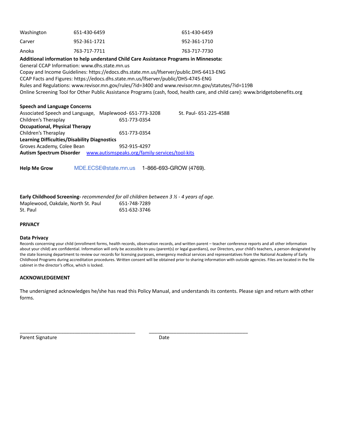| Washington | 651-430-6459 | 651-430-6459 |
|------------|--------------|--------------|
| Carver     | 952-361-1721 | 952-361-1710 |
| Anoka      | 763-717-7711 | 763-717-7730 |

**Additional information to help understand Child Care Assistance Programs in Minnesota:**

General CCAP Information: www.dhs.state.mn.us

Copay and Income Guidelines: https://edocs.dhs.state.mn.us/lfserver/public.DHS-6413-ENG

CCAP Facts and Figures: https://edocs.dhs.state.mn.us/lfserver/public/DHS-4745-ENG

Rules and Regulations: www.revisor.mn.gov/rules/?id=3400 and www.revisor.mn.gov/statutes/?id=119B

Online Screening Tool for Other Public Assistance Programs (cash, food, health care, and child care): www.bridgetobenefits.org

#### **Speech and Language Concerns**

| Maplewood- 651-773-3208                             | St. Paul- 651-225-4588          |  |  |
|-----------------------------------------------------|---------------------------------|--|--|
| 651-773-0354                                        |                                 |  |  |
|                                                     |                                 |  |  |
| 651-773-0354                                        |                                 |  |  |
| <b>Learning Difficulties/Disability Diagnostics</b> |                                 |  |  |
| 952-915-4297                                        |                                 |  |  |
| www.autismspeaks.org/family-services/tool-kits      |                                 |  |  |
|                                                     | Associated Speech and Language, |  |  |

**Help Me Grow** MDE.ECSE@state.mn.us 1-866-693-GROW (4769).

## **Early Childhood Screening-** *recommended for all children between 3 ½ - 4 years of age.* Maplewood, Oakdale, North St. Paul 651-748-7289 St. Paul 651-632-3746

#### **PRIVACY**

#### **Data Privacy**

Records concerning your child (enrollment forms, health records, observation records, and written parent – teacher conference reports and all other information about your child) are confidential. Information will only be accessible to you (parent(s) or legal guardians), our Directors, your child's teachers, a person designated by the state licensing department to review our records for licensing purposes, emergency medical services and representatives from the National Academy of Early Childhood Programs during accreditation procedures. Written consent will be obtained prior to sharing information with outside agencies. Files are located in the file cabinet in the director's office, which is locked.

#### **ACKNOWLEDGEMENT**

The undersigned acknowledges he/she has read this Policy Manual, and understands its contents. Please sign and return with other forms.

Parent Signature Date

\_\_\_\_\_\_\_\_\_\_\_\_\_\_\_\_\_\_\_\_\_\_\_\_\_\_\_\_\_\_\_\_\_\_\_\_\_\_\_\_\_\_ \_\_\_\_\_\_\_\_\_\_\_\_\_\_\_\_\_\_\_\_\_\_\_\_\_\_\_\_\_\_\_\_\_\_\_\_